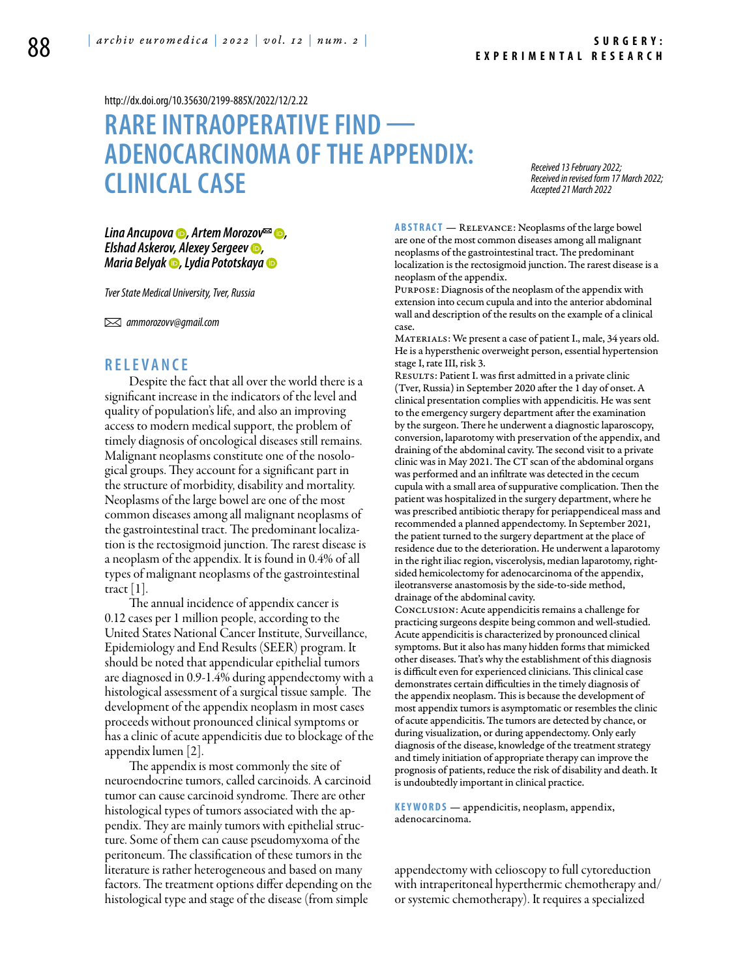<http://dx.doi.org/10.35630/2199-885X/2022/12/2.22>

# **RARE INTRAOPERATIVE FIND — ADENOCARCINOMA OF THE APPENDIX: CLINICAL CASE**

*Received 13 February 2022; Received in revised form 17 March 2022; Accepted 21 March 2022*

*[Lina Ancupova](https://orcid.org/0000-0002-2647-9836)* **<b>⊙**, [Artem Morozov](https://orcid.org/0000-0003-4213-5379)<sup>∞</sup> ◎, *Elshad Askerov, [Alexey Sergeev](https://orcid.org/0000-0002-9657-8063) , [Maria Belyak](https://orcid.org/0000-0001-6125-7676) , [Lydia Pototskaya](https://orcid.org/0000-0001-6283-2310)*

*Tver State Medical University, Tver, Russia*

 *ammorozovv@gmail.com*

## **R ELE V A N CE**

Despite the fact that all over the world there is a significant increase in the indicators of the level and quality of population's life, and also an improving access to modern medical support, the problem of timely diagnosis of oncological diseases still remains. Malignant neoplasms constitute one of the nosological groups. They account for a significant part in the structure of morbidity, disability and mortality. Neoplasms of the large bowel are one of the most common diseases among all malignant neoplasms of the gastrointestinal tract. The predominant localization is the rectosigmoid junction. The rarest disease is a neoplasm of the appendix. It is found in 0.4% of all types of malignant neoplasms of the gastrointestinal tract  $|1|$ .

The annual incidence of appendix cancer is 0.12 cases per 1 million people, according to the United States National Cancer Institute, Surveillance, Epidemiology and End Results (SEER) program. It should be noted that appendicular epithelial tumors are diagnosed in 0.9-1.4% during appendectomy with a histological assessment of a surgical tissue sample. The development of the appendix neoplasm in most cases proceeds without pronounced clinical symptoms or has a clinic of acute appendicitis due to blockage of the appendix lumen [2].

The appendix is most commonly the site of neuroendocrine tumors, called carcinoids. A carcinoid tumor can cause carcinoid syndrome. There are other histological types of tumors associated with the appendix. They are mainly tumors with epithelial structure. Some of them can cause pseudomyxoma of the peritoneum. The classification of these tumors in the literature is rather heterogeneous and based on many factors. The treatment options differ depending on the histological type and stage of the disease (from simple

**Abstract** — Relevance: Neoplasms of the large bowel are one of the most common diseases among all malignant neoplasms of the gastrointestinal tract. The predominant localization is the rectosigmoid junction. The rarest disease is a neoplasm of the appendix.

Purpose: Diagnosis of the neoplasm of the appendix with extension into cecum cupula and into the anterior abdominal wall and description of the results on the example of a clinical case.

MATERIALS: We present a case of patient I., male, 34 years old. He is a hypersthenic overweight person, essential hypertension stage I, rate III, risk 3.

RESULTS: Patient I. was first admitted in a private clinic (Tver, Russia) in September 2020 after the 1 day of onset. A clinical presentation complies with appendicitis. He was sent to the emergency surgery department after the examination by the surgeon. There he underwent a diagnostic laparoscopy, conversion, laparotomy with preservation of the appendix, and draining of the abdominal cavity. The second visit to a private clinic was in May 2021. The CT scan of the abdominal organs was performed and an infiltrate was detected in the cecum cupula with a small area of suppurative complication. Then the patient was hospitalized in the surgery department, where he was prescribed antibiotic therapy for periappendiceal mass and recommended a planned appendectomy. In September 2021, the patient turned to the surgery department at the place of residence due to the deterioration. He underwent a laparotomy in the right iliac region, viscerolysis, median laparotomy, rightsided hemicolectomy for adenocarcinoma of the appendix, ileotransverse anastomosis by the side-to-side method, drainage of the abdominal cavity.

Conclusion: Acute appendicitis remains a challenge for practicing surgeons despite being common and well-studied. Acute appendicitis is characterized by pronounced clinical symptoms. But it also has many hidden forms that mimicked other diseases. That's why the establishment of this diagnosis is difficult even for experienced clinicians. This clinical case demonstrates certain difficulties in the timely diagnosis of the appendix neoplasm. This is because the development of most appendix tumors is asymptomatic or resembles the clinic of acute appendicitis. The tumors are detected by chance, or during visualization, or during appendectomy. Only early diagnosis of the disease, knowledge of the treatment strategy and timely initiation of appropriate therapy can improve the prognosis of patients, reduce the risk of disability and death. It is undoubtedly important in clinical practice.

**K eywords** — appendicitis, neoplasm, appendix, adenocarcinoma.

appendectomy with celioscopy to full cytoreduction with intraperitoneal hyperthermic chemotherapy and/ or systemic chemotherapy). It requires a specialized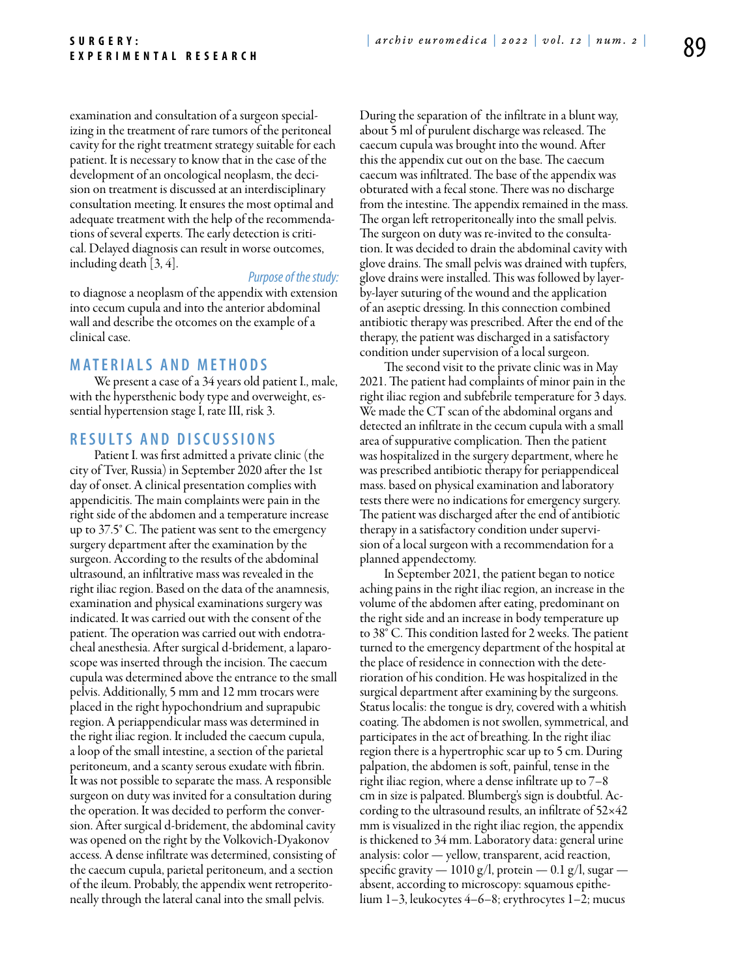examination and consultation of a surgeon specializing in the treatment of rare tumors of the peritoneal cavity for the right treatment strategy suitable for each patient. It is necessary to know that in the case of the development of an oncological neoplasm, the decision on treatment is discussed at an interdisciplinary consultation meeting. It ensures the most optimal and adequate treatment with the help of the recommendations of several experts. The early detection is critical. Delayed diagnosis can result in worse outcomes, including death [3, 4].

#### *Purpose of the study:*

to diagnose a neoplasm of the appendix with extension into cecum cupula and into the anterior abdominal wall and describe the otcomes on the example of a clinical case.

# **M ATE R I A LS A N D MET H O D S**

We present a case of a 34 years old patient I., male, with the hypersthenic body type and overweight, essential hypertension stage I, rate III, risk 3.

## **R ES U LTS A N D D ISC U SSI ONS**

Patient I. was first admitted a private clinic (the city of Tver, Russia) in September 2020 after the 1st day of onset. A clinical presentation complies with appendicitis. The main complaints were pain in the right side of the abdomen and a temperature increase up to 37.5° C. The patient was sent to the emergency surgery department after the examination by the surgeon. According to the results of the abdominal ultrasound, an infiltrative mass was revealed in the right iliac region. Based on the data of the anamnesis, examination and physical examinations surgery was indicated. It was carried out with the consent of the patient. The operation was carried out with endotracheal anesthesia. After surgical d-bridement, a laparoscope was inserted through the incision. The caecum cupula was determined above the entrance to the small pelvis. Additionally, 5 mm and 12 mm trocars were placed in the right hypochondrium and suprapubic region. A periappendicular mass was determined in the right iliac region. It included the caecum cupula, a loop of the small intestine, a section of the parietal peritoneum, and a scanty serous exudate with fibrin. It was not possible to separate the mass. A responsible surgeon on duty was invited for a consultation during the operation. It was decided to perform the conversion. After surgical d-bridement, the abdominal cavity was opened on the right by the Volkovich-Dyakonov access. A dense infiltrate was determined, consisting of the caecum cupula, parietal peritoneum, and a section of the ileum. Probably, the appendix went retroperitoneally through the lateral canal into the small pelvis.

During the separation of the infiltrate in a blunt way, about 5 ml of purulent discharge was released. The caecum cupula was brought into the wound. After this the appendix cut out on the base. The caecum caecum was infiltrated. The base of the appendix was obturated with a fecal stone. There was no discharge from the intestine. The appendix remained in the mass. The organ left retroperitoneally into the small pelvis. The surgeon on duty was re-invited to the consultation. It was decided to drain the abdominal cavity with glove drains. The small pelvis was drained with tupfers, glove drains were installed. This was followed by layerby-layer suturing of the wound and the application of an aseptic dressing. In this connection combined antibiotic therapy was prescribed. After the end of the therapy, the patient was discharged in a satisfactory condition under supervision of a local surgeon.

The second visit to the private clinic was in May 2021. The patient had complaints of minor pain in the right iliac region and subfebrile temperature for 3 days. We made the CT scan of the abdominal organs and detected an infiltrate in the cecum cupula with a small area of suppurative complication. Then the patient was hospitalized in the surgery department, where he was prescribed antibiotic therapy for periappendiceal mass. based on physical examination and laboratory tests there were no indications for emergency surgery. The patient was discharged after the end of antibiotic therapy in a satisfactory condition under supervision of a local surgeon with a recommendation for a planned appendectomy.

In September 2021, the patient began to notice aching pains in the right iliac region, an increase in the volume of the abdomen after eating, predominant on the right side and an increase in body temperature up to 38° C. This condition lasted for 2 weeks. The patient turned to the emergency department of the hospital at the place of residence in connection with the deterioration of his condition. He was hospitalized in the surgical department after examining by the surgeons. Status localis: the tongue is dry, covered with a whitish coating. The abdomen is not swollen, symmetrical, and participates in the act of breathing. In the right iliac region there is a hypertrophic scar up to 5 cm. During palpation, the abdomen is soft, painful, tense in the right iliac region, where a dense infiltrate up to 7–8 cm in size is palpated. Blumberg's sign is doubtful. According to the ultrasound results, an infiltrate of 52×42 mm is visualized in the right iliac region, the appendix is thickened to 34 mm. Laboratory data: general urine analysis: color — yellow, transparent, acid reaction, specific gravity —  $1010 \frac{g}{l}$ , protein — 0.1 g/l, sugar absent, according to microscopy: squamous epithelium 1–3, leukocytes 4–6–8; erythrocytes 1–2; mucus